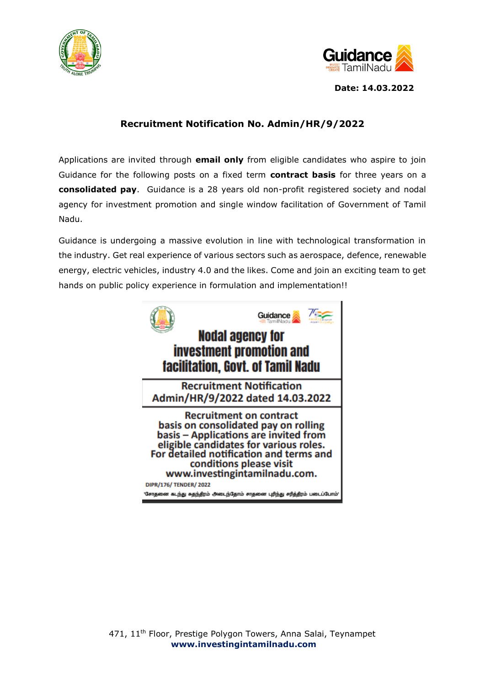



**Date: 14.03.2022**

## **Recruitment Notification No. Admin/HR/9/2022**

Applications are invited through **email only** from eligible candidates who aspire to join Guidance for the following posts on a fixed term **contract basis** for three years on a **consolidated pay**. Guidance is a 28 years old non-profit registered society and nodal agency for investment promotion and single window facilitation of Government of Tamil Nadu.

Guidance is undergoing a massive evolution in line with technological transformation in the industry. Get real experience of various sectors such as aerospace, defence, renewable energy, electric vehicles, industry 4.0 and the likes. Come and join an exciting team to get hands on public policy experience in formulation and implementation!!

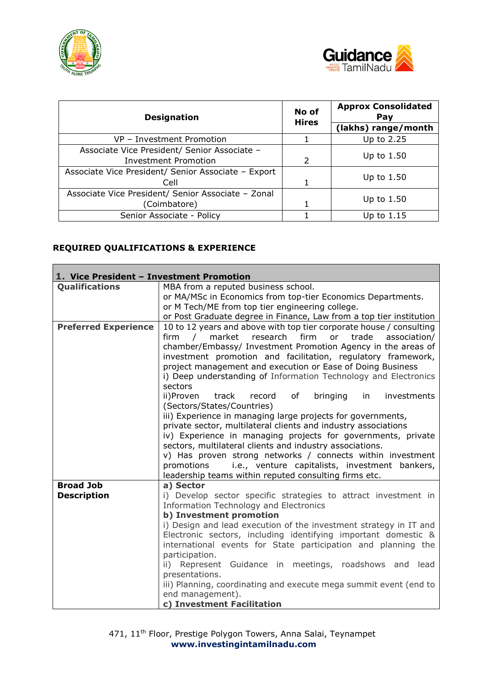

 $\mathbf{r}$ 



| <b>Designation</b>                                  | No of<br><b>Hires</b> | <b>Approx Consolidated</b><br>Pay |  |
|-----------------------------------------------------|-----------------------|-----------------------------------|--|
|                                                     |                       | (lakhs) range/month               |  |
| VP - Investment Promotion                           |                       | Up to 2.25                        |  |
| Associate Vice President/ Senior Associate -        |                       |                                   |  |
| <b>Investment Promotion</b>                         | $\mathcal{P}$         | Up to 1.50                        |  |
| Associate Vice President/ Senior Associate - Export |                       | Up to $1.50$                      |  |
| Cell                                                |                       |                                   |  |
| Associate Vice President/ Senior Associate - Zonal  |                       | Up to 1.50                        |  |
| (Coimbatore)                                        |                       |                                   |  |
| Senior Associate - Policy                           |                       | Up to $1.15$                      |  |

# **REQUIRED QUALIFICATIONS & EXPERIENCE**

| 1. Vice President - Investment Promotion |                                                                                                                                                                                                                                                                                                                                                                                                                                                                                                                                                                                                                                                                                                                                                                                                                                                                                                                                                                                       |  |  |  |  |
|------------------------------------------|---------------------------------------------------------------------------------------------------------------------------------------------------------------------------------------------------------------------------------------------------------------------------------------------------------------------------------------------------------------------------------------------------------------------------------------------------------------------------------------------------------------------------------------------------------------------------------------------------------------------------------------------------------------------------------------------------------------------------------------------------------------------------------------------------------------------------------------------------------------------------------------------------------------------------------------------------------------------------------------|--|--|--|--|
| <b>Qualifications</b>                    | MBA from a reputed business school.                                                                                                                                                                                                                                                                                                                                                                                                                                                                                                                                                                                                                                                                                                                                                                                                                                                                                                                                                   |  |  |  |  |
|                                          | or MA/MSc in Economics from top-tier Economics Departments.                                                                                                                                                                                                                                                                                                                                                                                                                                                                                                                                                                                                                                                                                                                                                                                                                                                                                                                           |  |  |  |  |
|                                          | or M Tech/ME from top tier engineering college.                                                                                                                                                                                                                                                                                                                                                                                                                                                                                                                                                                                                                                                                                                                                                                                                                                                                                                                                       |  |  |  |  |
|                                          | or Post Graduate degree in Finance, Law from a top tier institution                                                                                                                                                                                                                                                                                                                                                                                                                                                                                                                                                                                                                                                                                                                                                                                                                                                                                                                   |  |  |  |  |
| <b>Preferred Experience</b>              | 10 to 12 years and above with top tier corporate house / consulting<br>market research<br>firm<br>firm<br>$\sqrt{2}$<br>or<br>trade<br>association/<br>chamber/Embassy/ Investment Promotion Agency in the areas of<br>investment promotion and facilitation, regulatory framework,<br>project management and execution or Ease of Doing Business<br>i) Deep understanding of Information Technology and Electronics<br>sectors<br>ii)Proven<br>track<br>of<br>bringing in<br>record<br>investments<br>(Sectors/States/Countries)<br>iii) Experience in managing large projects for governments,<br>private sector, multilateral clients and industry associations<br>iv) Experience in managing projects for governments, private<br>sectors, multilateral clients and industry associations.<br>v) Has proven strong networks / connects within investment<br>i.e., venture capitalists, investment bankers,<br>promotions<br>leadership teams within reputed consulting firms etc. |  |  |  |  |
| <b>Broad Job</b>                         | a) Sector                                                                                                                                                                                                                                                                                                                                                                                                                                                                                                                                                                                                                                                                                                                                                                                                                                                                                                                                                                             |  |  |  |  |
| <b>Description</b>                       | i) Develop sector specific strategies to attract investment in                                                                                                                                                                                                                                                                                                                                                                                                                                                                                                                                                                                                                                                                                                                                                                                                                                                                                                                        |  |  |  |  |
|                                          | <b>Information Technology and Electronics</b>                                                                                                                                                                                                                                                                                                                                                                                                                                                                                                                                                                                                                                                                                                                                                                                                                                                                                                                                         |  |  |  |  |
|                                          | b) Investment promotion                                                                                                                                                                                                                                                                                                                                                                                                                                                                                                                                                                                                                                                                                                                                                                                                                                                                                                                                                               |  |  |  |  |
|                                          | i) Design and lead execution of the investment strategy in IT and                                                                                                                                                                                                                                                                                                                                                                                                                                                                                                                                                                                                                                                                                                                                                                                                                                                                                                                     |  |  |  |  |
|                                          | Electronic sectors, including identifying important domestic &                                                                                                                                                                                                                                                                                                                                                                                                                                                                                                                                                                                                                                                                                                                                                                                                                                                                                                                        |  |  |  |  |
|                                          | international events for State participation and planning the                                                                                                                                                                                                                                                                                                                                                                                                                                                                                                                                                                                                                                                                                                                                                                                                                                                                                                                         |  |  |  |  |
|                                          | participation.                                                                                                                                                                                                                                                                                                                                                                                                                                                                                                                                                                                                                                                                                                                                                                                                                                                                                                                                                                        |  |  |  |  |
|                                          | ii) Represent Guidance in meetings, roadshows and lead                                                                                                                                                                                                                                                                                                                                                                                                                                                                                                                                                                                                                                                                                                                                                                                                                                                                                                                                |  |  |  |  |
|                                          | presentations.                                                                                                                                                                                                                                                                                                                                                                                                                                                                                                                                                                                                                                                                                                                                                                                                                                                                                                                                                                        |  |  |  |  |
|                                          | iii) Planning, coordinating and execute mega summit event (end to<br>end management).                                                                                                                                                                                                                                                                                                                                                                                                                                                                                                                                                                                                                                                                                                                                                                                                                                                                                                 |  |  |  |  |
|                                          | c) Investment Facilitation                                                                                                                                                                                                                                                                                                                                                                                                                                                                                                                                                                                                                                                                                                                                                                                                                                                                                                                                                            |  |  |  |  |
|                                          |                                                                                                                                                                                                                                                                                                                                                                                                                                                                                                                                                                                                                                                                                                                                                                                                                                                                                                                                                                                       |  |  |  |  |

471, 11<sup>th</sup> Floor, Prestige Polygon Towers, Anna Salai, Teynampet **[www.investingintamilnadu.com](http://www.investingintamilnadu.com/)**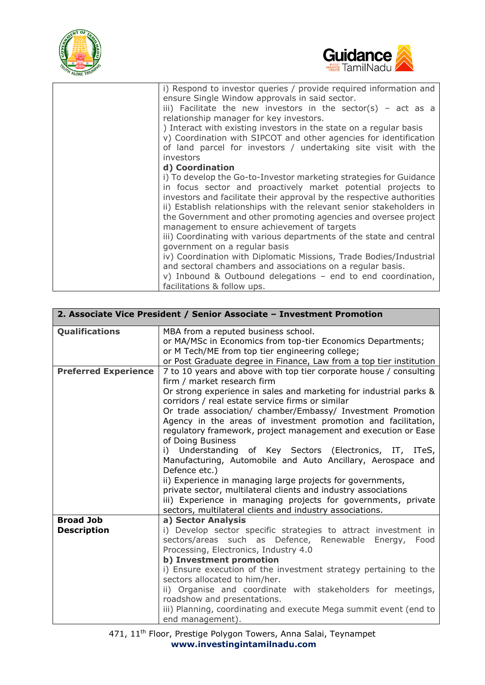



| i) Respond to investor queries / provide required information and<br>ensure Single Window approvals in said sector.                                                                                       |
|-----------------------------------------------------------------------------------------------------------------------------------------------------------------------------------------------------------|
| iii) Facilitate the new investors in the sector(s) - act as a<br>relationship manager for key investors.                                                                                                  |
| ) Interact with existing investors in the state on a regular basis<br>v) Coordination with SIPCOT and other agencies for identification<br>of land parcel for investors / undertaking site visit with the |
| investors                                                                                                                                                                                                 |
| d) Coordination                                                                                                                                                                                           |
| i) To develop the Go-to-Investor marketing strategies for Guidance                                                                                                                                        |
| in focus sector and proactively market potential projects to                                                                                                                                              |
| investors and facilitate their approval by the respective authorities                                                                                                                                     |
| ii) Establish relationships with the relevant senior stakeholders in                                                                                                                                      |
| the Government and other promoting agencies and oversee project<br>management to ensure achievement of targets                                                                                            |
| iii) Coordinating with various departments of the state and central                                                                                                                                       |
| government on a regular basis                                                                                                                                                                             |
| iv) Coordination with Diplomatic Missions, Trade Bodies/Industrial                                                                                                                                        |
| and sectoral chambers and associations on a regular basis.                                                                                                                                                |
| v) Inbound & Outbound delegations - end to end coordination,                                                                                                                                              |
| facilitations & follow ups.                                                                                                                                                                               |

|                             | 2. Associate Vice President / Senior Associate - Investment Promotion                                                  |  |  |  |  |
|-----------------------------|------------------------------------------------------------------------------------------------------------------------|--|--|--|--|
| Qualifications              | MBA from a reputed business school.<br>or MA/MSc in Economics from top-tier Economics Departments;                     |  |  |  |  |
|                             | or M Tech/ME from top tier engineering college;                                                                        |  |  |  |  |
|                             | or Post Graduate degree in Finance, Law from a top tier institution                                                    |  |  |  |  |
| <b>Preferred Experience</b> | 7 to 10 years and above with top tier corporate house / consulting                                                     |  |  |  |  |
|                             | firm / market research firm                                                                                            |  |  |  |  |
|                             | Or strong experience in sales and marketing for industrial parks &                                                     |  |  |  |  |
|                             | corridors / real estate service firms or similar                                                                       |  |  |  |  |
|                             | Or trade association/ chamber/Embassy/ Investment Promotion                                                            |  |  |  |  |
|                             | Agency in the areas of investment promotion and facilitation,                                                          |  |  |  |  |
|                             | regulatory framework, project management and execution or Ease                                                         |  |  |  |  |
|                             | of Doing Business                                                                                                      |  |  |  |  |
|                             | i) Understanding of Key Sectors (Electronics, IT, ITeS,<br>Manufacturing, Automobile and Auto Ancillary, Aerospace and |  |  |  |  |
|                             | Defence etc.)                                                                                                          |  |  |  |  |
|                             | ii) Experience in managing large projects for governments,                                                             |  |  |  |  |
|                             | private sector, multilateral clients and industry associations                                                         |  |  |  |  |
|                             | iii) Experience in managing projects for governments, private                                                          |  |  |  |  |
|                             | sectors, multilateral clients and industry associations.                                                               |  |  |  |  |
| <b>Broad Job</b>            | a) Sector Analysis                                                                                                     |  |  |  |  |
| <b>Description</b>          | i) Develop sector specific strategies to attract investment in                                                         |  |  |  |  |
|                             | sectors/areas such as Defence, Renewable Energy, Food                                                                  |  |  |  |  |
|                             | Processing, Electronics, Industry 4.0                                                                                  |  |  |  |  |
|                             | b) Investment promotion                                                                                                |  |  |  |  |
|                             | i) Ensure execution of the investment strategy pertaining to the                                                       |  |  |  |  |
|                             | sectors allocated to him/her.                                                                                          |  |  |  |  |
|                             | ii) Organise and coordinate with stakeholders for meetings,                                                            |  |  |  |  |
|                             | roadshow and presentations.                                                                                            |  |  |  |  |
|                             | iii) Planning, coordinating and execute Mega summit event (end to                                                      |  |  |  |  |
|                             | end management).                                                                                                       |  |  |  |  |

471, 11<sup>th</sup> Floor, Prestige Polygon Towers, Anna Salai, Teynampet **[www.investingintamilnadu.com](http://www.investingintamilnadu.com/)**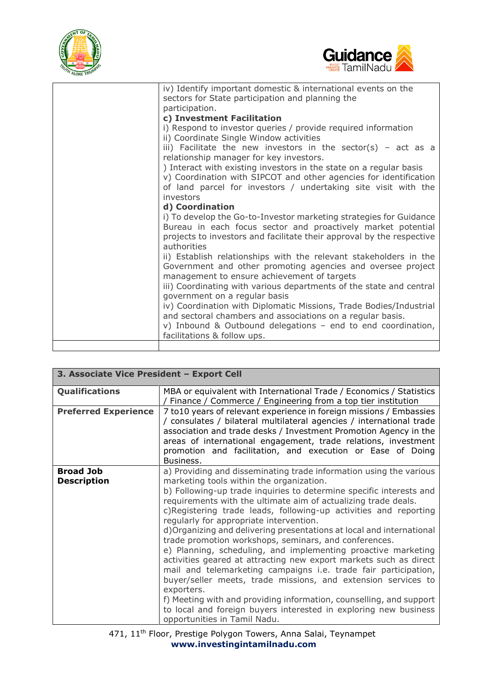



| iv) Identify important domestic & international events on the<br>sectors for State participation and planning the                                                                                                          |
|----------------------------------------------------------------------------------------------------------------------------------------------------------------------------------------------------------------------------|
| participation.                                                                                                                                                                                                             |
| c) Investment Facilitation                                                                                                                                                                                                 |
| i) Respond to investor queries / provide required information<br>ii) Coordinate Single Window activities                                                                                                                   |
| iii) Facilitate the new investors in the sector(s) - act as a<br>relationship manager for key investors.                                                                                                                   |
| ) Interact with existing investors in the state on a regular basis<br>v) Coordination with SIPCOT and other agencies for identification                                                                                    |
| of land parcel for investors / undertaking site visit with the<br>investors                                                                                                                                                |
| d) Coordination                                                                                                                                                                                                            |
| i) To develop the Go-to-Investor marketing strategies for Guidance<br>Bureau in each focus sector and proactively market potential<br>projects to investors and facilitate their approval by the respective<br>authorities |
| ii) Establish relationships with the relevant stakeholders in the<br>Government and other promoting agencies and oversee project<br>management to ensure achievement of targets                                            |
| iii) Coordinating with various departments of the state and central<br>government on a regular basis                                                                                                                       |
| iv) Coordination with Diplomatic Missions, Trade Bodies/Industrial<br>and sectoral chambers and associations on a regular basis.<br>v) Inbound & Outbound delegations - end to end coordination,                           |
| facilitations & follow ups.                                                                                                                                                                                                |
|                                                                                                                                                                                                                            |

| 3. Associate Vice President - Export Cell |                                                                                                                                                                                                                                                                                                                                                                                                                                                                                                                                                                                                                                                                                                                                                                                                                                                                                                       |  |  |
|-------------------------------------------|-------------------------------------------------------------------------------------------------------------------------------------------------------------------------------------------------------------------------------------------------------------------------------------------------------------------------------------------------------------------------------------------------------------------------------------------------------------------------------------------------------------------------------------------------------------------------------------------------------------------------------------------------------------------------------------------------------------------------------------------------------------------------------------------------------------------------------------------------------------------------------------------------------|--|--|
| <b>Qualifications</b>                     | MBA or equivalent with International Trade / Economics / Statistics<br>Finance / Commerce / Engineering from a top tier institution                                                                                                                                                                                                                                                                                                                                                                                                                                                                                                                                                                                                                                                                                                                                                                   |  |  |
| <b>Preferred Experience</b>               | 7 to 10 years of relevant experience in foreign missions / Embassies<br>/ consulates / bilateral multilateral agencies / international trade<br>association and trade desks / Investment Promotion Agency in the<br>areas of international engagement, trade relations, investment<br>promotion and facilitation, and execution or Ease of Doing<br>Business.                                                                                                                                                                                                                                                                                                                                                                                                                                                                                                                                         |  |  |
| <b>Broad Job</b>                          | a) Providing and disseminating trade information using the various                                                                                                                                                                                                                                                                                                                                                                                                                                                                                                                                                                                                                                                                                                                                                                                                                                    |  |  |
| <b>Description</b>                        | marketing tools within the organization.<br>b) Following-up trade inquiries to determine specific interests and<br>requirements with the ultimate aim of actualizing trade deals.<br>c)Registering trade leads, following-up activities and reporting<br>regularly for appropriate intervention.<br>d) Organizing and delivering presentations at local and international<br>trade promotion workshops, seminars, and conferences.<br>e) Planning, scheduling, and implementing proactive marketing<br>activities geared at attracting new export markets such as direct<br>mail and telemarketing campaigns i.e. trade fair participation,<br>buyer/seller meets, trade missions, and extension services to<br>exporters.<br>f) Meeting with and providing information, counselling, and support<br>to local and foreign buyers interested in exploring new business<br>opportunities in Tamil Nadu. |  |  |

471, 11<sup>th</sup> Floor, Prestige Polygon Towers, Anna Salai, Teynampet **[www.investingintamilnadu.com](http://www.investingintamilnadu.com/)**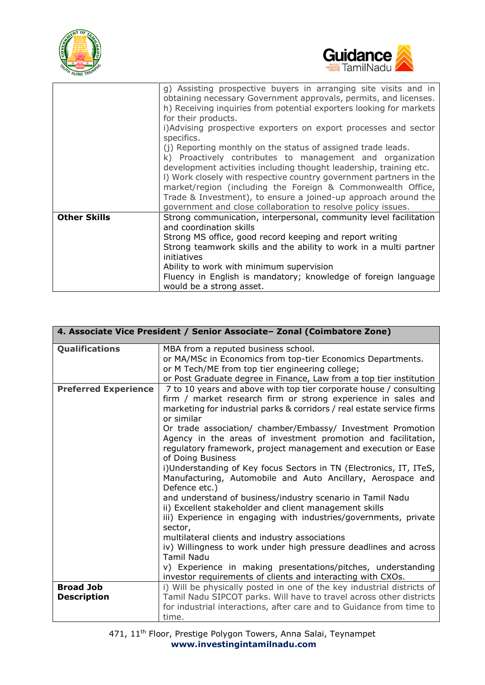



|                     | g) Assisting prospective buyers in arranging site visits and in<br>obtaining necessary Government approvals, permits, and licenses.<br>h) Receiving inquiries from potential exporters looking for markets<br>for their products.<br>i)Advising prospective exporters on export processes and sector<br>specifics.<br>(j) Reporting monthly on the status of assigned trade leads.<br>k) Proactively contributes to management and organization<br>development activities including thought leadership, training etc.<br>I) Work closely with respective country government partners in the<br>market/region (including the Foreign & Commonwealth Office,<br>Trade & Investment), to ensure a joined-up approach around the<br>government and close collaboration to resolve policy issues. |
|---------------------|----------------------------------------------------------------------------------------------------------------------------------------------------------------------------------------------------------------------------------------------------------------------------------------------------------------------------------------------------------------------------------------------------------------------------------------------------------------------------------------------------------------------------------------------------------------------------------------------------------------------------------------------------------------------------------------------------------------------------------------------------------------------------------------------|
| <b>Other Skills</b> | Strong communication, interpersonal, community level facilitation<br>and coordination skills<br>Strong MS office, good record keeping and report writing<br>Strong teamwork skills and the ability to work in a multi partner<br>initiatives<br>Ability to work with minimum supervision<br>Fluency in English is mandatory; knowledge of foreign language<br>would be a strong asset.                                                                                                                                                                                                                                                                                                                                                                                                       |

|                             | 4. Associate Vice President / Senior Associate- Zonal (Coimbatore Zone)                                                               |  |  |  |
|-----------------------------|---------------------------------------------------------------------------------------------------------------------------------------|--|--|--|
| <b>Qualifications</b>       | MBA from a reputed business school.                                                                                                   |  |  |  |
|                             | or MA/MSc in Economics from top-tier Economics Departments.                                                                           |  |  |  |
|                             | or M Tech/ME from top tier engineering college;                                                                                       |  |  |  |
|                             | or Post Graduate degree in Finance, Law from a top tier institution                                                                   |  |  |  |
| <b>Preferred Experience</b> | 7 to 10 years and above with top tier corporate house / consulting                                                                    |  |  |  |
|                             | firm / market research firm or strong experience in sales and                                                                         |  |  |  |
|                             | marketing for industrial parks & corridors / real estate service firms<br>or similar                                                  |  |  |  |
|                             | Or trade association/ chamber/Embassy/ Investment Promotion                                                                           |  |  |  |
|                             | Agency in the areas of investment promotion and facilitation,                                                                         |  |  |  |
|                             | regulatory framework, project management and execution or Ease                                                                        |  |  |  |
|                             | of Doing Business                                                                                                                     |  |  |  |
|                             | i)Understanding of Key focus Sectors in TN (Electronics, IT, ITeS,                                                                    |  |  |  |
|                             | Manufacturing, Automobile and Auto Ancillary, Aerospace and<br>Defence etc.)                                                          |  |  |  |
|                             | and understand of business/industry scenario in Tamil Nadu                                                                            |  |  |  |
|                             | ii) Excellent stakeholder and client management skills                                                                                |  |  |  |
|                             | iii) Experience in engaging with industries/governments, private                                                                      |  |  |  |
|                             | sector,                                                                                                                               |  |  |  |
|                             | multilateral clients and industry associations                                                                                        |  |  |  |
|                             | iv) Willingness to work under high pressure deadlines and across                                                                      |  |  |  |
|                             | <b>Tamil Nadu</b>                                                                                                                     |  |  |  |
|                             | v) Experience in making presentations/pitches, understanding                                                                          |  |  |  |
| <b>Broad Job</b>            | investor requirements of clients and interacting with CXOs.<br>i) Will be physically posted in one of the key industrial districts of |  |  |  |
| <b>Description</b>          | Tamil Nadu SIPCOT parks. Will have to travel across other districts                                                                   |  |  |  |
|                             | for industrial interactions, after care and to Guidance from time to                                                                  |  |  |  |
|                             | time.                                                                                                                                 |  |  |  |
|                             |                                                                                                                                       |  |  |  |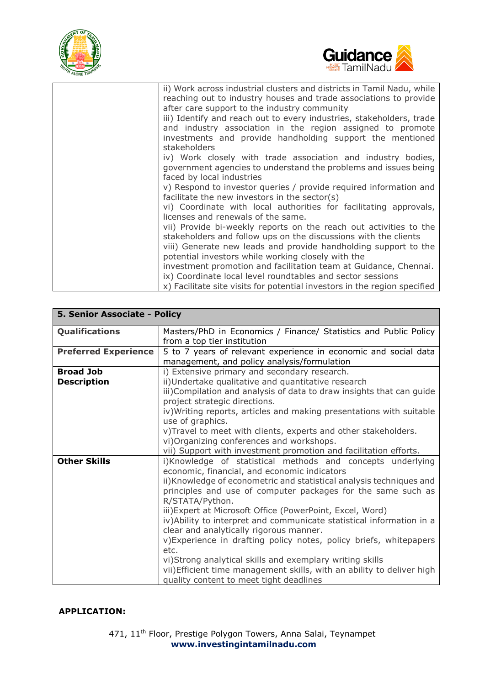



| ii) Work across industrial clusters and districts in Tamil Nadu, while<br>reaching out to industry houses and trade associations to provide<br>after care support to the industry community                                                                   |
|---------------------------------------------------------------------------------------------------------------------------------------------------------------------------------------------------------------------------------------------------------------|
| iii) Identify and reach out to every industries, stakeholders, trade<br>and industry association in the region assigned to promote<br>investments and provide handholding support the mentioned<br>stakeholders                                               |
| iv) Work closely with trade association and industry bodies,<br>government agencies to understand the problems and issues being<br>faced by local industries                                                                                                  |
| v) Respond to investor queries / provide required information and<br>facilitate the new investors in the sector(s)                                                                                                                                            |
| vi) Coordinate with local authorities for facilitating approvals,<br>licenses and renewals of the same.                                                                                                                                                       |
| vii) Provide bi-weekly reports on the reach out activities to the<br>stakeholders and follow ups on the discussions with the clients<br>viii) Generate new leads and provide handholding support to the<br>potential investors while working closely with the |
| investment promotion and facilitation team at Guidance, Chennai.<br>ix) Coordinate local level roundtables and sector sessions                                                                                                                                |
| x) Facilitate site visits for potential investors in the region specified                                                                                                                                                                                     |

| 5. Senior Associate - Policy |                                                                        |  |  |  |  |
|------------------------------|------------------------------------------------------------------------|--|--|--|--|
| Qualifications               | Masters/PhD in Economics / Finance/ Statistics and Public Policy       |  |  |  |  |
|                              | from a top tier institution                                            |  |  |  |  |
| <b>Preferred Experience</b>  | 5 to 7 years of relevant experience in economic and social data        |  |  |  |  |
|                              | management, and policy analysis/formulation                            |  |  |  |  |
| <b>Broad Job</b>             | i) Extensive primary and secondary research.                           |  |  |  |  |
| <b>Description</b>           | ii)Undertake qualitative and quantitative research                     |  |  |  |  |
|                              | iii) Compilation and analysis of data to draw insights that can guide  |  |  |  |  |
|                              | project strategic directions.                                          |  |  |  |  |
|                              | iv) Writing reports, articles and making presentations with suitable   |  |  |  |  |
|                              | use of graphics.                                                       |  |  |  |  |
|                              | v)Travel to meet with clients, experts and other stakeholders.         |  |  |  |  |
|                              | vi) Organizing conferences and workshops.                              |  |  |  |  |
|                              | vii) Support with investment promotion and facilitation efforts.       |  |  |  |  |
| <b>Other Skills</b>          | i)Knowledge of statistical methods and concepts underlying             |  |  |  |  |
|                              | economic, financial, and economic indicators                           |  |  |  |  |
|                              | ii)Knowledge of econometric and statistical analysis techniques and    |  |  |  |  |
|                              | principles and use of computer packages for the same such as           |  |  |  |  |
|                              | R/STATA/Python.                                                        |  |  |  |  |
|                              | iii) Expert at Microsoft Office (PowerPoint, Excel, Word)              |  |  |  |  |
|                              | iv) Ability to interpret and communicate statistical information in a  |  |  |  |  |
|                              | clear and analytically rigorous manner.                                |  |  |  |  |
|                              | v) Experience in drafting policy notes, policy briefs, whitepapers     |  |  |  |  |
|                              | etc.                                                                   |  |  |  |  |
|                              | vi)Strong analytical skills and exemplary writing skills               |  |  |  |  |
|                              | vii) Efficient time management skills, with an ability to deliver high |  |  |  |  |
|                              | quality content to meet tight deadlines                                |  |  |  |  |

### **APPLICATION:**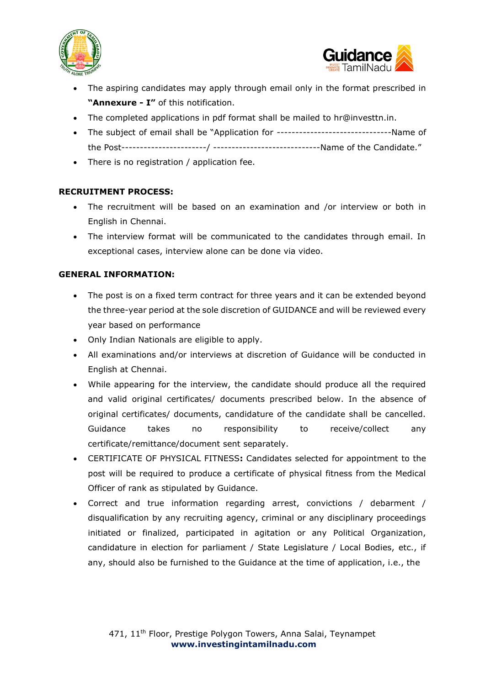



- The aspiring candidates may apply through email only in the format prescribed in **"Annexure - I"** of this notification.
- The completed applications in pdf format shall be mailed to hr@investtn.in.
- The subject of email shall be "Application for -------------------------------Name of the Post-----------------------/ -----------------------------Name of the Candidate."
- There is no registration / application fee.

## **RECRUITMENT PROCESS:**

- The recruitment will be based on an examination and /or interview or both in English in Chennai.
- The interview format will be communicated to the candidates through email. In exceptional cases, interview alone can be done via video.

### **GENERAL INFORMATION:**

- The post is on a fixed term contract for three years and it can be extended beyond the three-year period at the sole discretion of GUIDANCE and will be reviewed every year based on performance
- Only Indian Nationals are eligible to apply.
- All examinations and/or interviews at discretion of Guidance will be conducted in English at Chennai.
- While appearing for the interview, the candidate should produce all the required and valid original certificates/ documents prescribed below. In the absence of original certificates/ documents, candidature of the candidate shall be cancelled. Guidance takes no responsibility to receive/collect any certificate/remittance/document sent separately.
- CERTIFICATE OF PHYSICAL FITNESS**:** Candidates selected for appointment to the post will be required to produce a certificate of physical fitness from the Medical Officer of rank as stipulated by Guidance.
- Correct and true information regarding arrest, convictions / debarment / disqualification by any recruiting agency, criminal or any disciplinary proceedings initiated or finalized, participated in agitation or any Political Organization, candidature in election for parliament / State Legislature / Local Bodies, etc., if any, should also be furnished to the Guidance at the time of application, i.e., the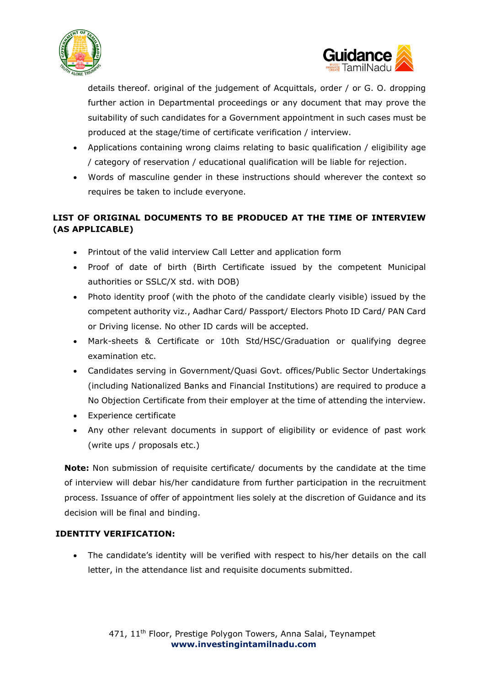



details thereof. original of the judgement of Acquittals, order / or G. O. dropping further action in Departmental proceedings or any document that may prove the suitability of such candidates for a Government appointment in such cases must be produced at the stage/time of certificate verification / interview.

- Applications containing wrong claims relating to basic qualification / eligibility age / category of reservation / educational qualification will be liable for rejection.
- Words of masculine gender in these instructions should wherever the context so requires be taken to include everyone.

# **LIST OF ORIGINAL DOCUMENTS TO BE PRODUCED AT THE TIME OF INTERVIEW (AS APPLICABLE)**

- Printout of the valid interview Call Letter and application form
- Proof of date of birth (Birth Certificate issued by the competent Municipal authorities or SSLC/X std. with DOB)
- Photo identity proof (with the photo of the candidate clearly visible) issued by the competent authority viz., Aadhar Card/ Passport/ Electors Photo ID Card/ PAN Card or Driving license. No other ID cards will be accepted.
- Mark-sheets & Certificate or 10th Std/HSC/Graduation or qualifying degree examination etc.
- Candidates serving in Government/Quasi Govt. offices/Public Sector Undertakings (including Nationalized Banks and Financial Institutions) are required to produce a No Objection Certificate from their employer at the time of attending the interview.
- Experience certificate
- Any other relevant documents in support of eligibility or evidence of past work (write ups / proposals etc.)

**Note:** Non submission of requisite certificate/ documents by the candidate at the time of interview will debar his/her candidature from further participation in the recruitment process. Issuance of offer of appointment lies solely at the discretion of Guidance and its decision will be final and binding.

## **IDENTITY VERIFICATION:**

• The candidate's identity will be verified with respect to his/her details on the call letter, in the attendance list and requisite documents submitted.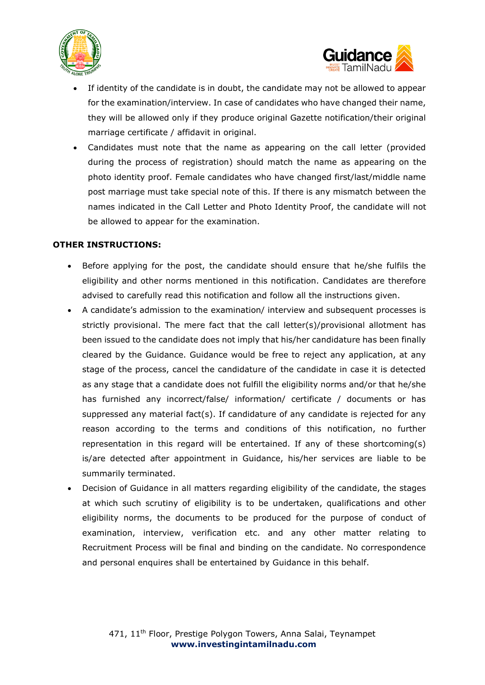



- If identity of the candidate is in doubt, the candidate may not be allowed to appear for the examination/interview. In case of candidates who have changed their name, they will be allowed only if they produce original Gazette notification/their original marriage certificate / affidavit in original.
- Candidates must note that the name as appearing on the call letter (provided during the process of registration) should match the name as appearing on the photo identity proof. Female candidates who have changed first/last/middle name post marriage must take special note of this. If there is any mismatch between the names indicated in the Call Letter and Photo Identity Proof, the candidate will not be allowed to appear for the examination.

#### **OTHER INSTRUCTIONS:**

- Before applying for the post, the candidate should ensure that he/she fulfils the eligibility and other norms mentioned in this notification. Candidates are therefore advised to carefully read this notification and follow all the instructions given.
- A candidate's admission to the examination/ interview and subsequent processes is strictly provisional. The mere fact that the call letter(s)/provisional allotment has been issued to the candidate does not imply that his/her candidature has been finally cleared by the Guidance. Guidance would be free to reject any application, at any stage of the process, cancel the candidature of the candidate in case it is detected as any stage that a candidate does not fulfill the eligibility norms and/or that he/she has furnished any incorrect/false/ information/ certificate / documents or has suppressed any material fact(s). If candidature of any candidate is rejected for any reason according to the terms and conditions of this notification, no further representation in this regard will be entertained. If any of these shortcoming(s) is/are detected after appointment in Guidance, his/her services are liable to be summarily terminated.
- Decision of Guidance in all matters regarding eligibility of the candidate, the stages at which such scrutiny of eligibility is to be undertaken, qualifications and other eligibility norms, the documents to be produced for the purpose of conduct of examination, interview, verification etc. and any other matter relating to Recruitment Process will be final and binding on the candidate. No correspondence and personal enquires shall be entertained by Guidance in this behalf.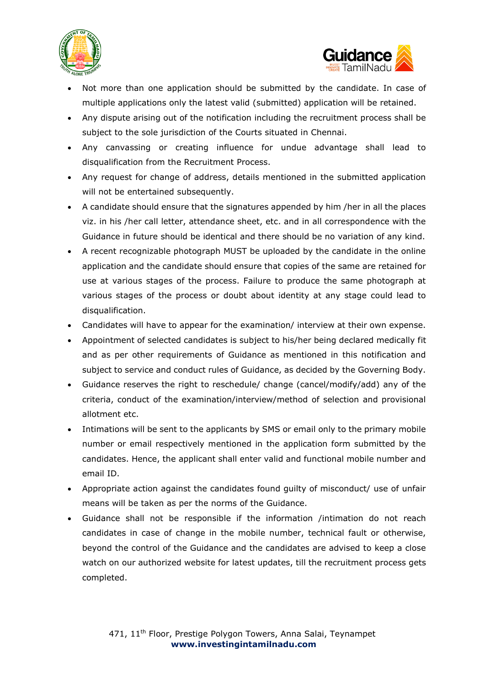



- Not more than one application should be submitted by the candidate. In case of multiple applications only the latest valid (submitted) application will be retained.
- Any dispute arising out of the notification including the recruitment process shall be subject to the sole jurisdiction of the Courts situated in Chennai.
- Any canvassing or creating influence for undue advantage shall lead to disqualification from the Recruitment Process.
- Any request for change of address, details mentioned in the submitted application will not be entertained subsequently.
- A candidate should ensure that the signatures appended by him /her in all the places viz. in his /her call letter, attendance sheet, etc. and in all correspondence with the Guidance in future should be identical and there should be no variation of any kind.
- A recent recognizable photograph MUST be uploaded by the candidate in the online application and the candidate should ensure that copies of the same are retained for use at various stages of the process. Failure to produce the same photograph at various stages of the process or doubt about identity at any stage could lead to disqualification.
- Candidates will have to appear for the examination/ interview at their own expense.
- Appointment of selected candidates is subject to his/her being declared medically fit and as per other requirements of Guidance as mentioned in this notification and subject to service and conduct rules of Guidance, as decided by the Governing Body.
- Guidance reserves the right to reschedule/ change (cancel/modify/add) any of the criteria, conduct of the examination/interview/method of selection and provisional allotment etc.
- Intimations will be sent to the applicants by SMS or email only to the primary mobile number or email respectively mentioned in the application form submitted by the candidates. Hence, the applicant shall enter valid and functional mobile number and email ID.
- Appropriate action against the candidates found guilty of misconduct/ use of unfair means will be taken as per the norms of the Guidance.
- Guidance shall not be responsible if the information /intimation do not reach candidates in case of change in the mobile number, technical fault or otherwise, beyond the control of the Guidance and the candidates are advised to keep a close watch on our authorized website for latest updates, till the recruitment process gets completed.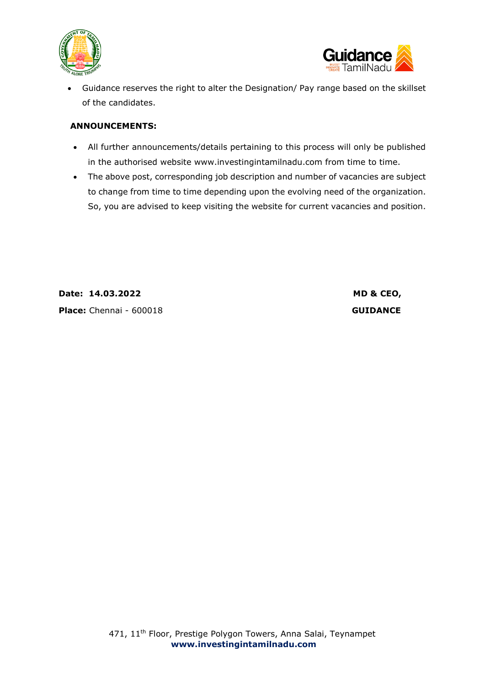



• Guidance reserves the right to alter the Designation/ Pay range based on the skillset of the candidates.

#### **ANNOUNCEMENTS:**

- All further announcements/details pertaining to this process will only be published in the authorised website www.investingintamilnadu.com from time to time.
- The above post, corresponding job description and number of vacancies are subject to change from time to time depending upon the evolving need of the organization. So, you are advised to keep visiting the website for current vacancies and position.

**Date: 14.03.2022 MD & CEO, Place:** Chennai - 600018 **GUIDANCE**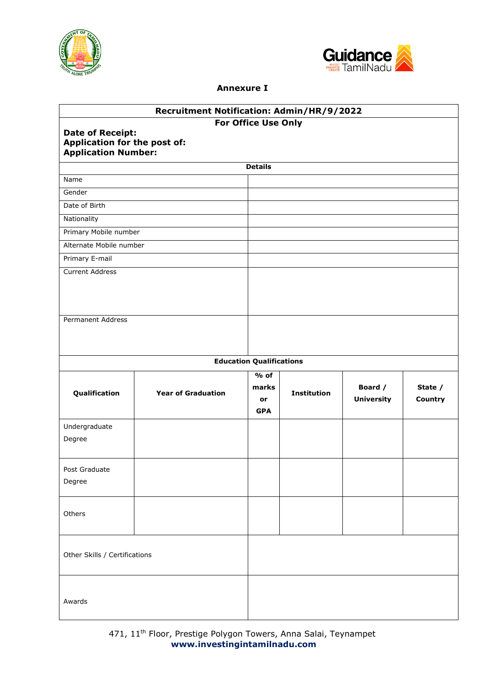



## **Annexure I**

| Recruitment Notification: Admin/HR/9/2022                                                                    |                                 |                                     |                    |                              |                    |
|--------------------------------------------------------------------------------------------------------------|---------------------------------|-------------------------------------|--------------------|------------------------------|--------------------|
| For Office Use Only<br><b>Date of Receipt:</b><br>Application for the post of:<br><b>Application Number:</b> |                                 |                                     |                    |                              |                    |
|                                                                                                              |                                 | <b>Details</b>                      |                    |                              |                    |
| Name                                                                                                         |                                 |                                     |                    |                              |                    |
| Gender                                                                                                       |                                 |                                     |                    |                              |                    |
| Date of Birth                                                                                                |                                 |                                     |                    |                              |                    |
| Nationality                                                                                                  |                                 |                                     |                    |                              |                    |
| Primary Mobile number                                                                                        |                                 |                                     |                    |                              |                    |
| Alternate Mobile number                                                                                      |                                 |                                     |                    |                              |                    |
| Primary E-mail                                                                                               |                                 |                                     |                    |                              |                    |
| <b>Current Address</b>                                                                                       |                                 |                                     |                    |                              |                    |
| Permanent Address                                                                                            |                                 |                                     |                    |                              |                    |
|                                                                                                              | <b>Education Qualifications</b> |                                     |                    |                              |                    |
| Qualification                                                                                                | <b>Year of Graduation</b>       | $%$ of<br>marks<br>or<br><b>GPA</b> | <b>Institution</b> | Board /<br><b>University</b> | State /<br>Country |
| Undergraduate<br>Degree                                                                                      |                                 |                                     |                    |                              |                    |
| Post Graduate<br>Degree                                                                                      |                                 |                                     |                    |                              |                    |
| Others                                                                                                       |                                 |                                     |                    |                              |                    |
| Other Skills / Certifications                                                                                |                                 |                                     |                    |                              |                    |
| Awards                                                                                                       |                                 |                                     |                    |                              |                    |